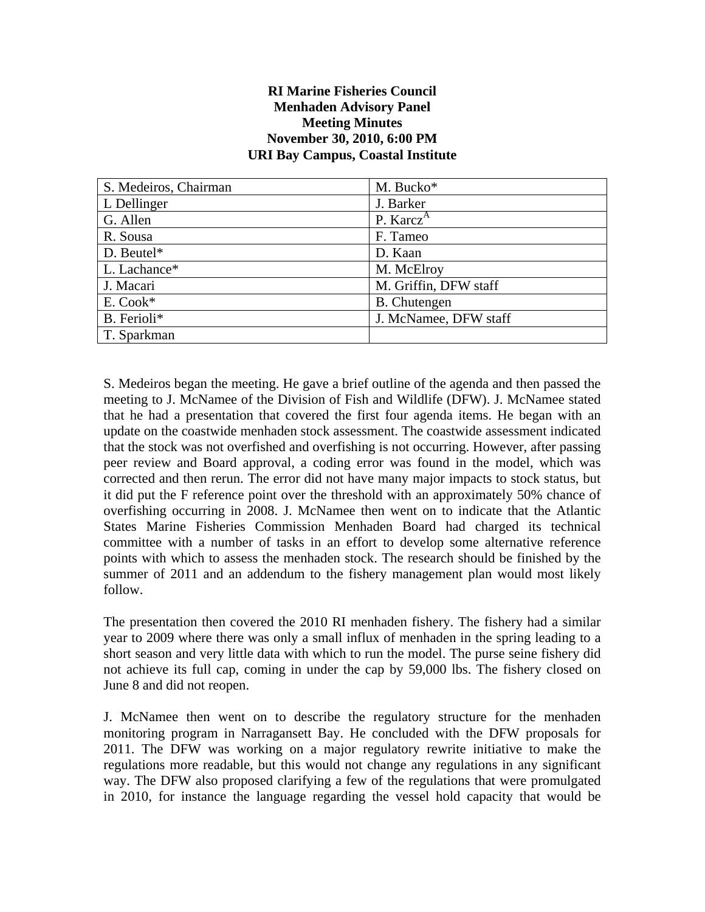## **RI Marine Fisheries Council Menhaden Advisory Panel Meeting Minutes November 30, 2010, 6:00 PM URI Bay Campus, Coastal Institute**

| S. Medeiros, Chairman | M. Bucko*             |
|-----------------------|-----------------------|
| L Dellinger           | J. Barker             |
| G. Allen              | P. Karcz <sup>A</sup> |
| R. Sousa              | F. Tameo              |
| $D.$ Beutel*          | D. Kaan               |
| L. Lachance*          | M. McElroy            |
| J. Macari             | M. Griffin, DFW staff |
| E. Cook*              | <b>B.</b> Chutengen   |
| B. Ferioli*           | J. McNamee, DFW staff |
| T. Sparkman           |                       |

S. Medeiros began the meeting. He gave a brief outline of the agenda and then passed the meeting to J. McNamee of the Division of Fish and Wildlife (DFW). J. McNamee stated that he had a presentation that covered the first four agenda items. He began with an update on the coastwide menhaden stock assessment. The coastwide assessment indicated that the stock was not overfished and overfishing is not occurring. However, after passing peer review and Board approval, a coding error was found in the model, which was corrected and then rerun. The error did not have many major impacts to stock status, but it did put the F reference point over the threshold with an approximately 50% chance of overfishing occurring in 2008. J. McNamee then went on to indicate that the Atlantic States Marine Fisheries Commission Menhaden Board had charged its technical committee with a number of tasks in an effort to develop some alternative reference points with which to assess the menhaden stock. The research should be finished by the summer of 2011 and an addendum to the fishery management plan would most likely follow.

The presentation then covered the 2010 RI menhaden fishery. The fishery had a similar year to 2009 where there was only a small influx of menhaden in the spring leading to a short season and very little data with which to run the model. The purse seine fishery did not achieve its full cap, coming in under the cap by 59,000 lbs. The fishery closed on June 8 and did not reopen.

J. McNamee then went on to describe the regulatory structure for the menhaden monitoring program in Narragansett Bay. He concluded with the DFW proposals for 2011. The DFW was working on a major regulatory rewrite initiative to make the regulations more readable, but this would not change any regulations in any significant way. The DFW also proposed clarifying a few of the regulations that were promulgated in 2010, for instance the language regarding the vessel hold capacity that would be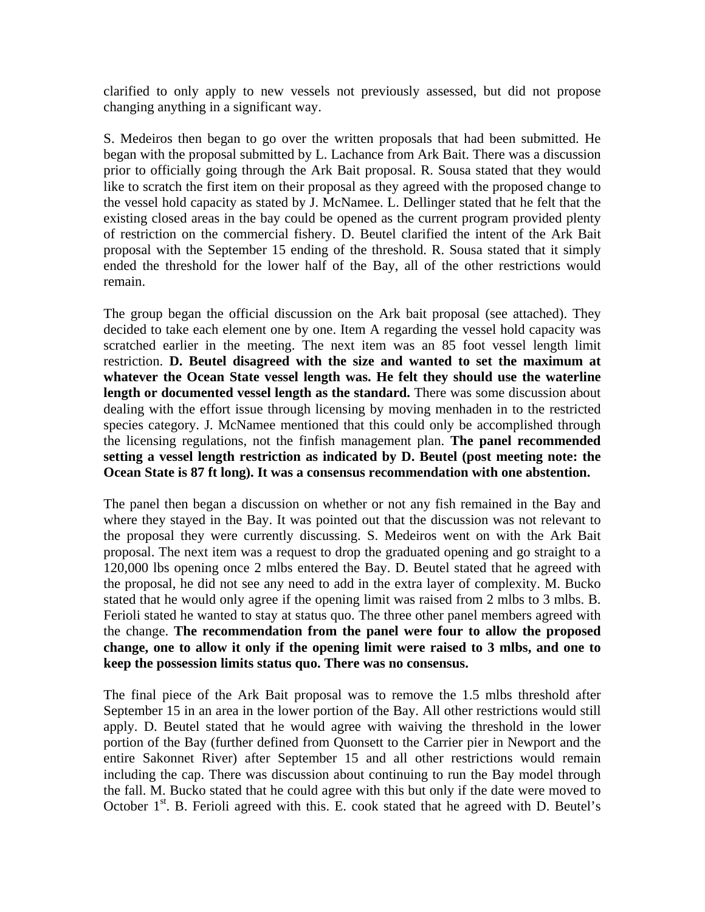clarified to only apply to new vessels not previously assessed, but did not propose changing anything in a significant way.

S. Medeiros then began to go over the written proposals that had been submitted. He began with the proposal submitted by L. Lachance from Ark Bait. There was a discussion prior to officially going through the Ark Bait proposal. R. Sousa stated that they would like to scratch the first item on their proposal as they agreed with the proposed change to the vessel hold capacity as stated by J. McNamee. L. Dellinger stated that he felt that the existing closed areas in the bay could be opened as the current program provided plenty of restriction on the commercial fishery. D. Beutel clarified the intent of the Ark Bait proposal with the September 15 ending of the threshold. R. Sousa stated that it simply ended the threshold for the lower half of the Bay, all of the other restrictions would remain.

The group began the official discussion on the Ark bait proposal (see attached). They decided to take each element one by one. Item A regarding the vessel hold capacity was scratched earlier in the meeting. The next item was an 85 foot vessel length limit restriction. **D. Beutel disagreed with the size and wanted to set the maximum at whatever the Ocean State vessel length was. He felt they should use the waterline length or documented vessel length as the standard.** There was some discussion about dealing with the effort issue through licensing by moving menhaden in to the restricted species category. J. McNamee mentioned that this could only be accomplished through the licensing regulations, not the finfish management plan. **The panel recommended setting a vessel length restriction as indicated by D. Beutel (post meeting note: the Ocean State is 87 ft long). It was a consensus recommendation with one abstention.**

The panel then began a discussion on whether or not any fish remained in the Bay and where they stayed in the Bay. It was pointed out that the discussion was not relevant to the proposal they were currently discussing. S. Medeiros went on with the Ark Bait proposal. The next item was a request to drop the graduated opening and go straight to a 120,000 lbs opening once 2 mlbs entered the Bay. D. Beutel stated that he agreed with the proposal, he did not see any need to add in the extra layer of complexity. M. Bucko stated that he would only agree if the opening limit was raised from 2 mlbs to 3 mlbs. B. Ferioli stated he wanted to stay at status quo. The three other panel members agreed with the change. **The recommendation from the panel were four to allow the proposed change, one to allow it only if the opening limit were raised to 3 mlbs, and one to keep the possession limits status quo. There was no consensus.**

The final piece of the Ark Bait proposal was to remove the 1.5 mlbs threshold after September 15 in an area in the lower portion of the Bay. All other restrictions would still apply. D. Beutel stated that he would agree with waiving the threshold in the lower portion of the Bay (further defined from Quonsett to the Carrier pier in Newport and the entire Sakonnet River) after September 15 and all other restrictions would remain including the cap. There was discussion about continuing to run the Bay model through the fall. M. Bucko stated that he could agree with this but only if the date were moved to October  $1<sup>st</sup>$ . B. Ferioli agreed with this. E. cook stated that he agreed with D. Beutel's